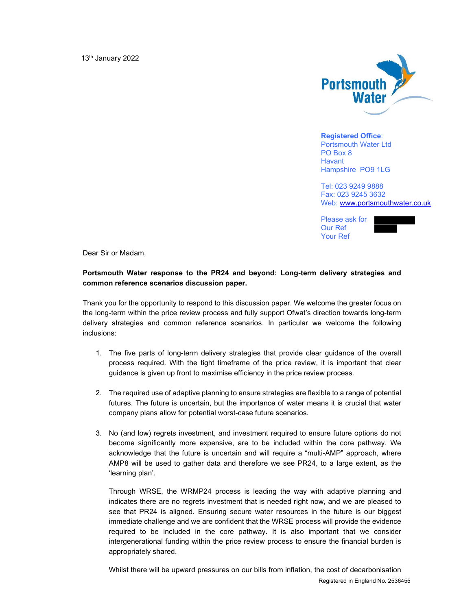

Registered Office: Portsmouth Water Ltd PO Box 8 **Havant** Hampshire PO9 1LG

Tel: 023 9249 9888 Fax: 023 9245 3632 Web: www.portsmouthwater.co.uk

Please ask for Our Ref Your Ref



Dear Sir or Madam,

## Portsmouth Water response to the PR24 and beyond: Long-term delivery strategies and common reference scenarios discussion paper.

Thank you for the opportunity to respond to this discussion paper. We welcome the greater focus on the long-term within the price review process and fully support Ofwat's direction towards long-term delivery strategies and common reference scenarios. In particular we welcome the following inclusions:

- 1. The five parts of long-term delivery strategies that provide clear guidance of the overall process required. With the tight timeframe of the price review, it is important that clear guidance is given up front to maximise efficiency in the price review process.
- 2. The required use of adaptive planning to ensure strategies are flexible to a range of potential futures. The future is uncertain, but the importance of water means it is crucial that water company plans allow for potential worst-case future scenarios.
- 3. No (and low) regrets investment, and investment required to ensure future options do not become significantly more expensive, are to be included within the core pathway. We acknowledge that the future is uncertain and will require a "multi-AMP" approach, where AMP8 will be used to gather data and therefore we see PR24, to a large extent, as the 'learning plan'.

Through WRSE, the WRMP24 process is leading the way with adaptive planning and indicates there are no regrets investment that is needed right now, and we are pleased to see that PR24 is aligned. Ensuring secure water resources in the future is our biggest immediate challenge and we are confident that the WRSE process will provide the evidence required to be included in the core pathway. It is also important that we consider intergenerational funding within the price review process to ensure the financial burden is appropriately shared.

Registered in England No. 2536455 Whilst there will be upward pressures on our bills from inflation, the cost of decarbonisation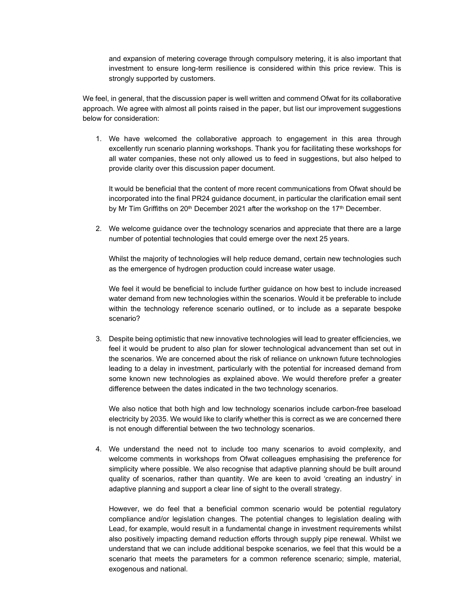and expansion of metering coverage through compulsory metering, it is also important that investment to ensure long-term resilience is considered within this price review. This is strongly supported by customers.

We feel, in general, that the discussion paper is well written and commend Ofwat for its collaborative approach. We agree with almost all points raised in the paper, but list our improvement suggestions below for consideration:

1. We have welcomed the collaborative approach to engagement in this area through excellently run scenario planning workshops. Thank you for facilitating these workshops for all water companies, these not only allowed us to feed in suggestions, but also helped to provide clarity over this discussion paper document.

It would be beneficial that the content of more recent communications from Ofwat should be incorporated into the final PR24 guidance document, in particular the clarification email sent by Mr Tim Griffiths on  $20^{th}$  December 2021 after the workshop on the 17<sup>th</sup> December.

2. We welcome guidance over the technology scenarios and appreciate that there are a large number of potential technologies that could emerge over the next 25 years.

Whilst the majority of technologies will help reduce demand, certain new technologies such as the emergence of hydrogen production could increase water usage.

We feel it would be beneficial to include further guidance on how best to include increased water demand from new technologies within the scenarios. Would it be preferable to include within the technology reference scenario outlined, or to include as a separate bespoke scenario?

3. Despite being optimistic that new innovative technologies will lead to greater efficiencies, we feel it would be prudent to also plan for slower technological advancement than set out in the scenarios. We are concerned about the risk of reliance on unknown future technologies leading to a delay in investment, particularly with the potential for increased demand from some known new technologies as explained above. We would therefore prefer a greater difference between the dates indicated in the two technology scenarios.

We also notice that both high and low technology scenarios include carbon-free baseload electricity by 2035. We would like to clarify whether this is correct as we are concerned there is not enough differential between the two technology scenarios.

4. We understand the need not to include too many scenarios to avoid complexity, and welcome comments in workshops from Ofwat colleagues emphasising the preference for simplicity where possible. We also recognise that adaptive planning should be built around quality of scenarios, rather than quantity. We are keen to avoid 'creating an industry' in adaptive planning and support a clear line of sight to the overall strategy.

However, we do feel that a beneficial common scenario would be potential regulatory compliance and/or legislation changes. The potential changes to legislation dealing with Lead, for example, would result in a fundamental change in investment requirements whilst also positively impacting demand reduction efforts through supply pipe renewal. Whilst we understand that we can include additional bespoke scenarios, we feel that this would be a scenario that meets the parameters for a common reference scenario; simple, material, exogenous and national.